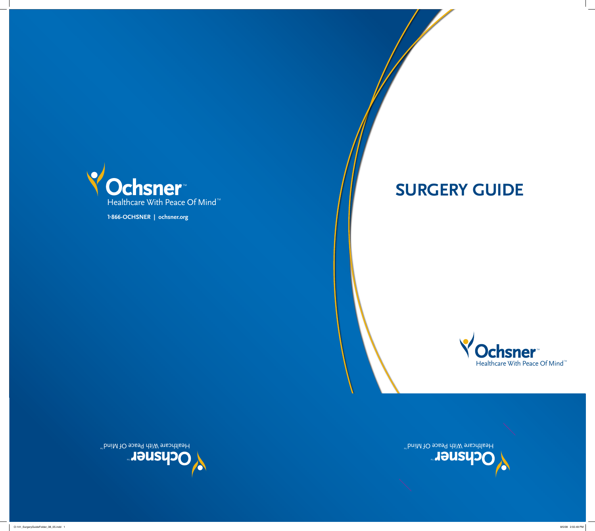# **Surgery Guide**

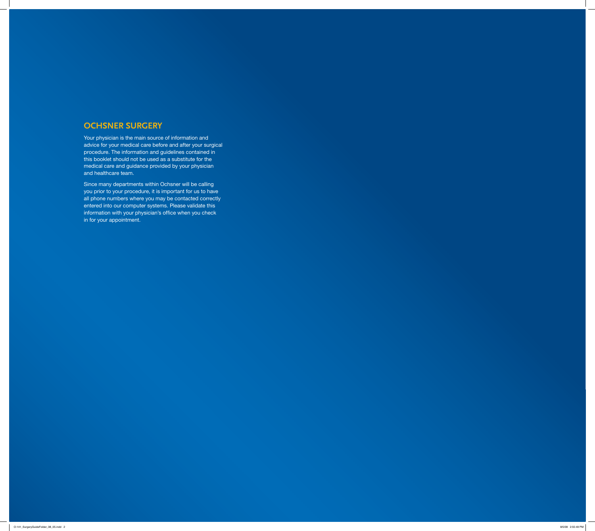# **Ochsner Surgery**

Your physician is the main source of information and advice for your medical care before and after your surgical procedure. The information and guidelines contained in this booklet should not be used as a substitute for the medical care and guidance provided by your physician and healthcare team.

Since many departments within Ochsner will be calling you prior to your procedure, it is important for us to have all phone numbers where you may be contacted correctly entered into our computer systems. Please validate this information with your physician's office when you check in for your appointment.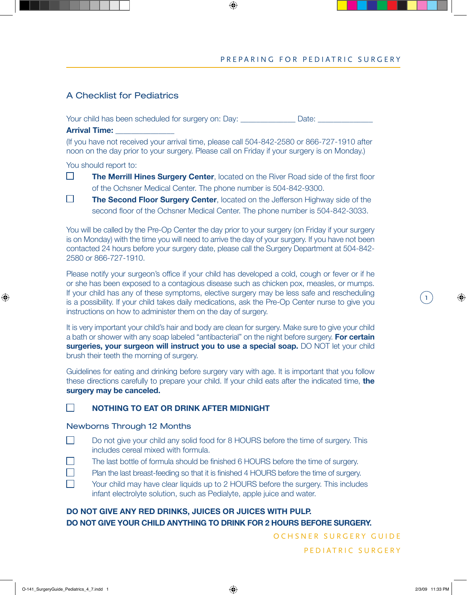## A Checklist for Pediatrics

Your child has been scheduled for surgery on: Day: \_\_\_\_\_\_\_\_\_\_\_\_\_\_\_\_ Date: \_\_\_\_\_\_\_\_\_\_\_\_\_

#### **Arrival Time:**

(If you have not received your arrival time, please call 504-842-2580 or 866-727-1910 after noon on the day prior to your surgery. Please call on Friday if your surgery is on Monday.)

You should report to:

- $\Box$ **The Merrill Hines Surgery Center**, located on the River Road side of the first floor of the Ochsner Medical Center. The phone number is 504-842-9300.
- $\Box$ **The Second Floor Surgery Center**, located on the Jefferson Highway side of the second floor of the Ochsner Medical Center. The phone number is 504-842-3033.

You will be called by the Pre-Op Center the day prior to your surgery (on Friday if your surgery is on Monday) with the time you will need to arrive the day of your surgery. If you have not been contacted 24 hours before your surgery date, please call the Surgery Department at 504-842- 2580 or 866-727-1910.

Please notify your surgeon's office if your child has developed a cold, cough or fever or if he or she has been exposed to a contagious disease such as chicken pox, measles, or mumps. If your child has any of these symptoms, elective surgery may be less safe and rescheduling is a possibility. If your child takes daily medications, ask the Pre-Op Center nurse to give you instructions on how to administer them on the day of surgery.

It is very important your child's hair and body are clean for surgery. Make sure to give your child a bath or shower with any soap labeled "antibacterial" on the night before surgery. **For certain surgeries, your surgeon will instruct you to use a special soap.** DO NOT let your child brush their teeth the morning of surgery.

Guidelines for eating and drinking before surgery vary with age. It is important that you follow these directions carefully to prepare your child. If your child eats after the indicated time, **the surgery may be canceled.**

#### $\Box$ **NOTHING TO EAT OR DRINK AFTER MIDNIGHT**

#### Newborns Through 12 Months

- $\Box$  Do not give your child any solid food for 8 HOURS before the time of surgery. This includes cereal mixed with formula.
- $\Box$ The last bottle of formula should be finished 6 HOURS before the time of surgery.
- $\Box$ Plan the last breast-feeding so that it is finished 4 HOURS before the time of surgery.
- $\Box$  Your child may have clear liquids up to 2 HOURS before the surgery. This includes infant electrolyte solution, such as Pedialyte, apple juice and water.

## **DO NOT GIVE ANY RED DRINKS, JUICES OR JUICES WITH PULP. DO NOT GIVE YOUR CHILD ANYTHING TO DRINK FOR 2 HOURS BEFORE SURGERY.**

O CH S N E R S U R G E R Y G U I D E

1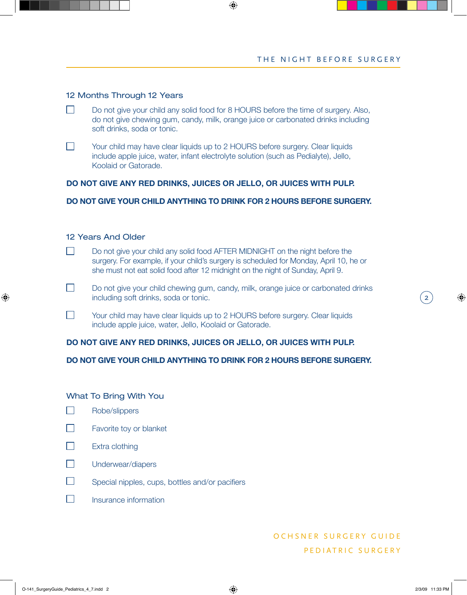#### 12 Months Through 12 Years

- $\Box$  Do not give your child any solid food for 8 HOURS before the time of surgery. Also, do not give chewing gum, candy, milk, orange juice or carbonated drinks including soft drinks, soda or tonic.
- Your child may have clear liquids up to 2 HOURS before surgery. Clear liquids include apple juice, water, infant electrolyte solution (such as Pedialyte), Jello, Koolaid or Gatorade.

#### **DO NOT GIVE ANY RED DRINKS, JUICES OR JELLO, OR JUICES WITH PULP.**

#### **DO NOT GIVE YOUR CHILD ANYTHING TO DRINK FOR 2 HOURS BEFORE SURGERY.**

#### 12 Years And Older

- Do not give your child any solid food AFTER MIDNIGHT on the night before the surgery. For example, if your child's surgery is scheduled for Monday, April 10, he or she must not eat solid food after 12 midnight on the night of Sunday, April 9.
- $\Box$  Do not give your child chewing gum, candy, milk, orange juice or carbonated drinks including soft drinks, soda or tonic.
- Your child may have clear liquids up to 2 HOURS before surgery. Clear liquids include apple juice, water, Jello, Koolaid or Gatorade.

#### **DO NOT GIVE ANY RED DRINKS, JUICES OR JELLO, OR JUICES WITH PULP.**

#### **DO NOT GIVE YOUR CHILD ANYTHING TO DRINK FOR 2 HOURS BEFORE SURGERY.**

#### What To Bring With You

- $\Box$ Robe/slippers
- $\Box$ Favorite toy or blanket
- $\Box$ Extra clothing
- $\Box$ Underwear/diapers
- $\Box$ Special nipples, cups, bottles and/or pacifiers
- $\mathbf{L}$ Insurance information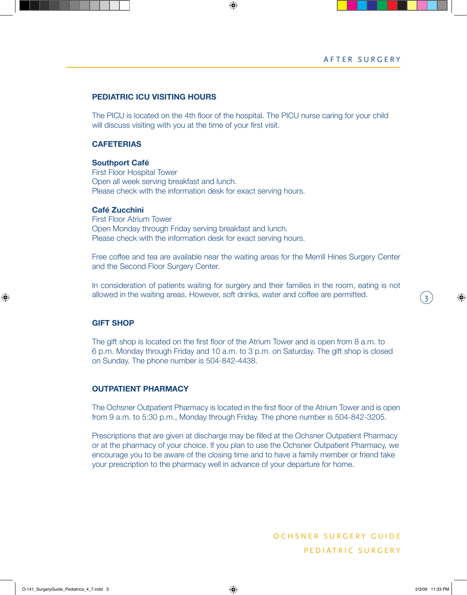3

#### **PEDIATRIC ICU VISITING HOURS**

The PICU is located on the 4th floor of the hospital. The PICU nurse caring for your child will discuss visiting with you at the time of your first visit.

#### **CAFETERIAS**

#### **Southport Café**

First Floor Hospital Tower Open all week serving breakfast and lunch. Please check with the information desk for exact serving hours.

#### **Café Zucchini**

First Floor Atrium Tower Open Monday through Friday serving breakfast and lunch. Please check with the information desk for exact serving hours.

Free coffee and tea are available near the waiting areas for the Merrill Hines Surgery Center and the Second Floor Surgery Center.

In consideration of patients waiting for surgery and their families in the room, eating is not allowed in the waiting areas. However, soft drinks, water and coffee are permitted.

#### **GIFT SHOP**

The gift shop is located on the first floor of the Atrium Tower and is open from 8 a.m. to 6 p.m. Monday through Friday and 10 a.m. to 3 p.m. on Saturday. The gift shop is closed on Sunday. The phone number is 504-842-4438.

#### **OUTPATIENT PHARMACY**

The Ochsner Outpatient Pharmacy is located in the first floor of the Atrium Tower and is open from 9 a.m. to 5:30 p.m., Monday through Friday. The phone number is 504-842-3205.

Prescriptions that are given at discharge may be filled at the Ochsner Outpatient Pharmacy or at the pharmacy of your choice. If you plan to use the Ochsner Outpatient Pharmacy, we encourage you to be aware of the closing time and to have a family member or friend take your prescription to the pharmacy well in advance of your departure for home.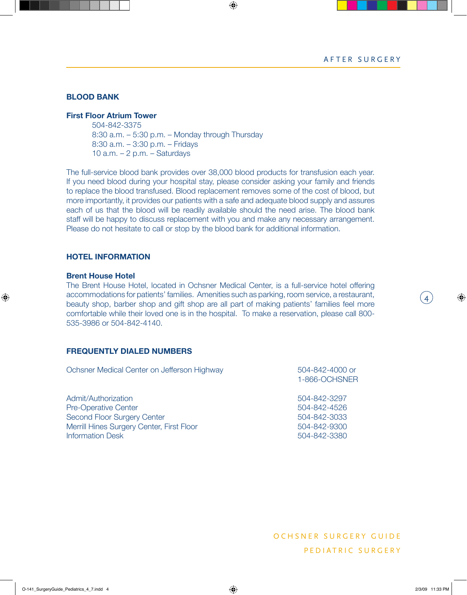4

#### **BLOOD BANK**

#### **First Floor Atrium Tower**

504-842-3375 8:30 a.m. – 5:30 p.m. – Monday through Thursday 8:30 a.m. – 3:30 p.m. – Fridays 10 a.m.  $-2$  p.m.  $-$  Saturdays

The full-service blood bank provides over 38,000 blood products for transfusion each year. If you need blood during your hospital stay, please consider asking your family and friends to replace the blood transfused. Blood replacement removes some of the cost of blood, but more importantly, it provides our patients with a safe and adequate blood supply and assures each of us that the blood will be readily available should the need arise. The blood bank staff will be happy to discuss replacement with you and make any necessary arrangement. Please do not hesitate to call or stop by the blood bank for additional information.

#### **HOTEL INFORMATION**

#### **Brent House Hotel**

The Brent House Hotel, located in Ochsner Medical Center, is a full-service hotel offering accommodations for patients' families. Amenities such as parking, room service, a restaurant, beauty shop, barber shop and gift shop are all part of making patients' families feel more comfortable while their loved one is in the hospital. To make a reservation, please call 800- 535-3986 or 504-842-4140.

#### **FREQUENTLY DIALED NUMBERS**

| Ochsner Medical Center on Jefferson Highway | 504-842-4000 or<br>1-866-OCHSNER |
|---------------------------------------------|----------------------------------|
| Admit/Authorization                         | 504-842-3297                     |
| <b>Pre-Operative Center</b>                 | 504-842-4526                     |
| Second Floor Surgery Center                 | 504-842-3033                     |
| Merrill Hines Surgery Center, First Floor   | 504-842-9300                     |
| <b>Information Desk</b>                     | 504-842-3380                     |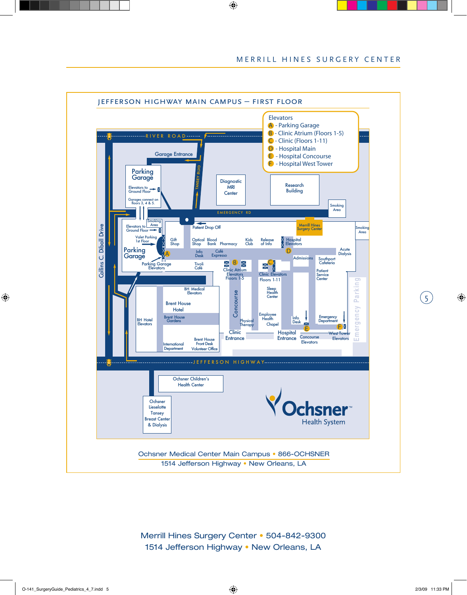$(5)$ 



Merrill Hines Surgery Center • 504-842-9300 1514 Jefferson Highway • New Orleans, LA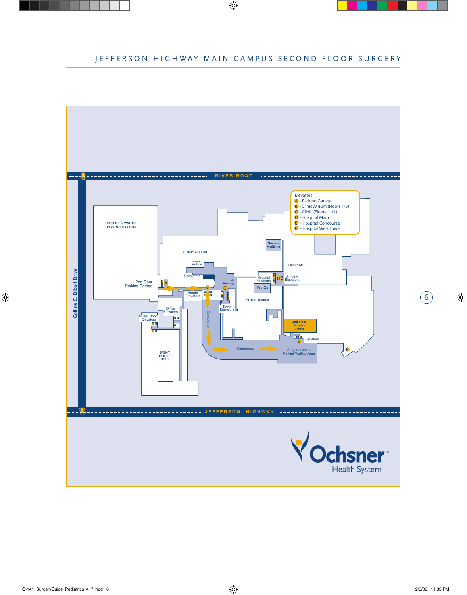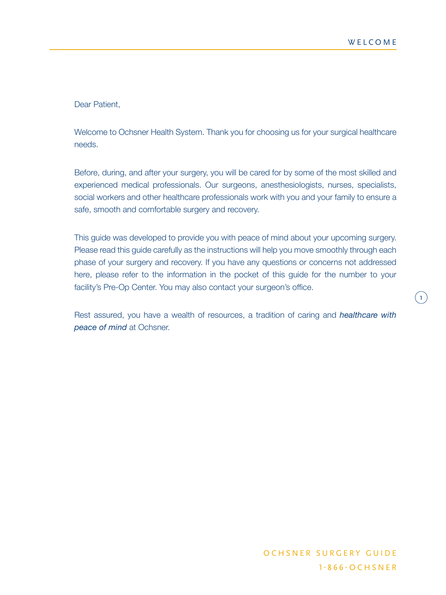$\overline{1}$ 

Dear Patient,

Welcome to Ochsner Health System. Thank you for choosing us for your surgical healthcare needs.

Before, during, and after your surgery, you will be cared for by some of the most skilled and experienced medical professionals. Our surgeons, anesthesiologists, nurses, specialists, social workers and other healthcare professionals work with you and your family to ensure a safe, smooth and comfortable surgery and recovery.

This guide was developed to provide you with peace of mind about your upcoming surgery. Please read this guide carefully as the instructions will help you move smoothly through each phase of your surgery and recovery. If you have any questions or concerns not addressed here, please refer to the information in the pocket of this guide for the number to your facility's Pre-Op Center. You may also contact your surgeon's office.

Rest assured, you have a wealth of resources, a tradition of caring and *healthcare with peace of mind* at Ochsner.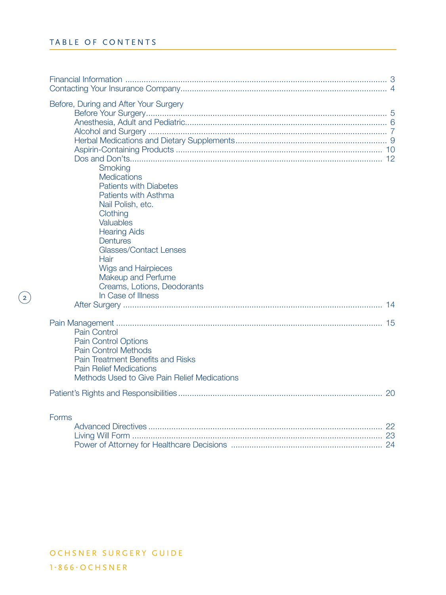$\odot$ 

| Before, During and After Your Surgery<br>Smoking<br><b>Medications</b><br><b>Patients with Diabetes</b><br>Patients with Asthma<br>Nail Polish, etc.<br>Clothing<br><b>Valuables</b><br><b>Hearing Aids</b><br><b>Dentures</b><br><b>Glasses/Contact Lenses</b><br>Hair<br><b>Wigs and Hairpieces</b><br>Makeup and Perfume<br>Creams, Lotions, Deodorants<br>In Case of Illness |        |
|----------------------------------------------------------------------------------------------------------------------------------------------------------------------------------------------------------------------------------------------------------------------------------------------------------------------------------------------------------------------------------|--------|
| Pain Control<br><b>Pain Control Options</b><br><b>Pain Control Methods</b><br>Pain Treatment Benefits and Risks<br><b>Pain Relief Medications</b><br>Methods Used to Give Pain Relief Medications                                                                                                                                                                                |        |
|                                                                                                                                                                                                                                                                                                                                                                                  |        |
| Forms<br>Analyzing and Directors and the                                                                                                                                                                                                                                                                                                                                         | $\cap$ |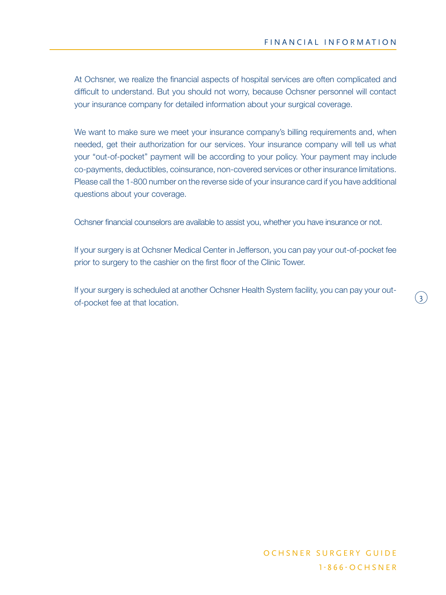$\left(3\right)$ 

At Ochsner, we realize the financial aspects of hospital services are often complicated and difficult to understand. But you should not worry, because Ochsner personnel will contact your insurance company for detailed information about your surgical coverage.

We want to make sure we meet your insurance company's billing requirements and, when needed, get their authorization for our services. Your insurance company will tell us what your "out-of-pocket" payment will be according to your policy. Your payment may include co-payments, deductibles, coinsurance, non-covered services or other insurance limitations. Please call the 1-800 number on the reverse side of your insurance card if you have additional questions about your coverage.

Ochsner financial counselors are available to assist you, whether you have insurance or not.

If your surgery is at Ochsner Medical Center in Jefferson, you can pay your out-of-pocket fee prior to surgery to the cashier on the first floor of the Clinic Tower.

If your surgery is scheduled at another Ochsner Health System facility, you can pay your outof-pocket fee at that location.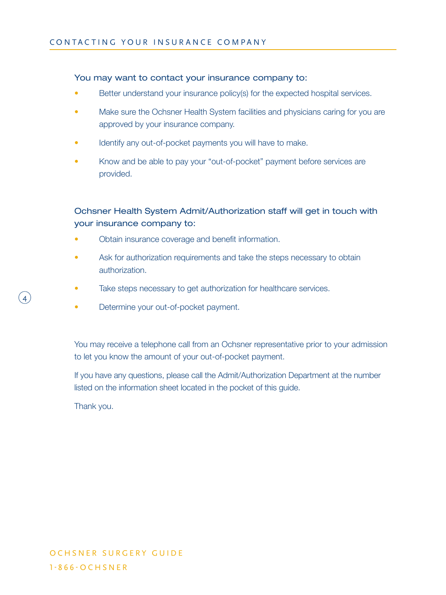## You may want to contact your insurance company to:

- Better understand your insurance policy(s) for the expected hospital services.
- Make sure the Ochsner Health System facilities and physicians caring for you are approved by your insurance company.
- Identify any out-of-pocket payments you will have to make.
- Know and be able to pay your "out-of-pocket" payment before services are provided.

# Ochsner Health System Admit/Authorization staff will get in touch with your insurance company to:

- Obtain insurance coverage and benefit information.
- Ask for authorization requirements and take the steps necessary to obtain authorization.
- Take steps necessary to get authorization for healthcare services.
- Determine your out-of-pocket payment.

You may receive a telephone call from an Ochsner representative prior to your admission to let you know the amount of your out-of-pocket payment.

If you have any questions, please call the Admit/Authorization Department at the number listed on the information sheet located in the pocket of this guide.

Thank you.

4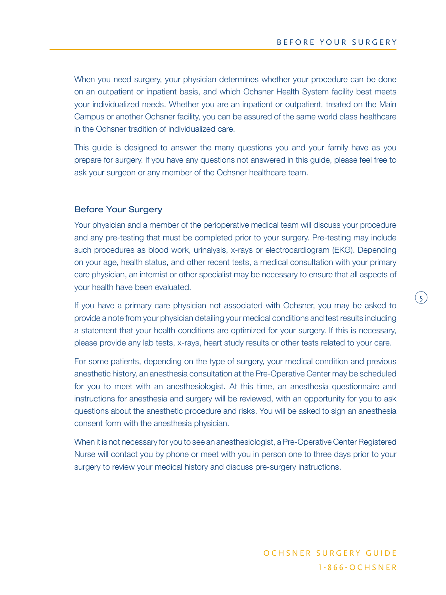$\binom{5}{ }$ 

When you need surgery, your physician determines whether your procedure can be done on an outpatient or inpatient basis, and which Ochsner Health System facility best meets your individualized needs. Whether you are an inpatient or outpatient, treated on the Main Campus or another Ochsner facility, you can be assured of the same world class healthcare in the Ochsner tradition of individualized care.

This guide is designed to answer the many questions you and your family have as you prepare for surgery. If you have any questions not answered in this guide, please feel free to ask your surgeon or any member of the Ochsner healthcare team.

## Before Your Surgery

Your physician and a member of the perioperative medical team will discuss your procedure and any pre-testing that must be completed prior to your surgery. Pre-testing may include such procedures as blood work, urinalysis, x-rays or electrocardiogram (EKG). Depending on your age, health status, and other recent tests, a medical consultation with your primary care physician, an internist or other specialist may be necessary to ensure that all aspects of your health have been evaluated.

If you have a primary care physician not associated with Ochsner, you may be asked to provide a note from your physician detailing your medical conditions and test results including a statement that your health conditions are optimized for your surgery. If this is necessary, please provide any lab tests, x-rays, heart study results or other tests related to your care.

For some patients, depending on the type of surgery, your medical condition and previous anesthetic history, an anesthesia consultation at the Pre-Operative Center may be scheduled for you to meet with an anesthesiologist. At this time, an anesthesia questionnaire and instructions for anesthesia and surgery will be reviewed, with an opportunity for you to ask questions about the anesthetic procedure and risks. You will be asked to sign an anesthesia consent form with the anesthesia physician.

When it is not necessary for you to see an anesthesiologist, a Pre-Operative Center Registered Nurse will contact you by phone or meet with you in person one to three days prior to your surgery to review your medical history and discuss pre-surgery instructions.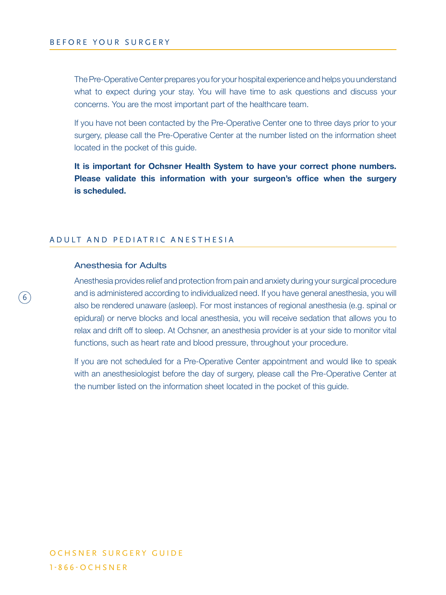The Pre-Operative Center prepares you for your hospital experience and helps you understand what to expect during your stay. You will have time to ask questions and discuss your concerns. You are the most important part of the healthcare team.

If you have not been contacted by the Pre-Operative Center one to three days prior to your surgery, please call the Pre-Operative Center at the number listed on the information sheet located in the pocket of this guide.

**It is important for Ochsner Health System to have your correct phone numbers. Please validate this information with your surgeon's office when the surgery is scheduled.**

## A D U L T A N D P E D I A T R I C A N E S T H E S I A

#### Anesthesia for Adults

6

Anesthesia provides relief and protection from pain and anxiety during your surgical procedure and is administered according to individualized need. If you have general anesthesia, you will also be rendered unaware (asleep). For most instances of regional anesthesia (e.g. spinal or epidural) or nerve blocks and local anesthesia, you will receive sedation that allows you to relax and drift off to sleep. At Ochsner, an anesthesia provider is at your side to monitor vital functions, such as heart rate and blood pressure, throughout your procedure.

If you are not scheduled for a Pre-Operative Center appointment and would like to speak with an anesthesiologist before the day of surgery, please call the Pre-Operative Center at the number listed on the information sheet located in the pocket of this guide.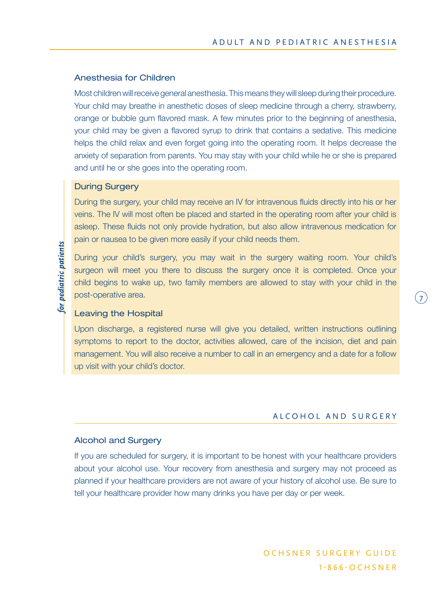#### Anesthesia for Children

Most children will receive general anesthesia. This means they will sleep during their procedure. Your child may breathe in anesthetic doses of sleep medicine through a cherry, strawberry, orange or bubble gum flavored mask. A few minutes prior to the beginning of anesthesia, your child may be given a flavored syrup to drink that contains a sedative. This medicine helps the child relax and even forget going into the operating room. It helps decrease the anxiety of separation from parents. You may stay with your child while he or she is prepared and until he or she goes into the operating room.

#### During Surgery

During the surgery, your child may receive an IV for intravenous fluids directly into his or her veins. The IV will most often be placed and started in the operating room after your child is asleep. These fluids not only provide hydration, but also allow intravenous medication for pain or nausea to be given more easily if your child needs them.

During your child's surgery, you may wait in the surgery waiting room. Your child's surgeon will meet you there to discuss the surgery once it is completed. Once your child begins to wake up, two family members are allowed to stay with your child in the post-operative area.

## Leaving the Hospital

Upon discharge, a registered nurse will give you detailed, written instructions outlining symptoms to report to the doctor, activities allowed, care of the incision, diet and pain management. You will also receive a number to call in an emergency and a date for a follow up visit with your child's doctor.

## ALCOHOL AND SURGERY

7

## Alcohol and Surgery

If you are scheduled for surgery, it is important to be honest with your healthcare providers about your alcohol use. Your recovery from anesthesia and surgery may not proceed as planned if your healthcare providers are not aware of your history of alcohol use. Be sure to tell your healthcare provider how many drinks you have per day or per week.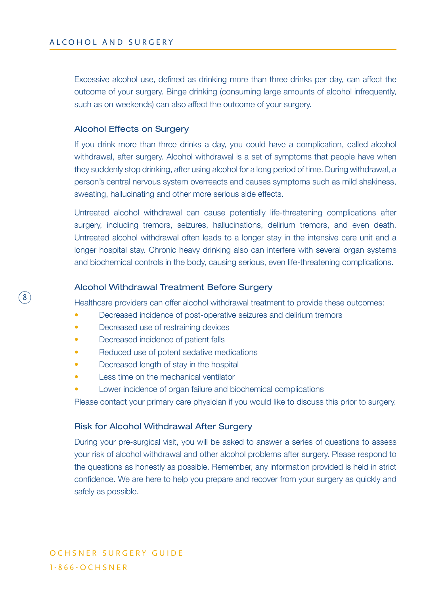Excessive alcohol use, defined as drinking more than three drinks per day, can affect the outcome of your surgery. Binge drinking (consuming large amounts of alcohol infrequently, such as on weekends) can also affect the outcome of your surgery.

#### Alcohol Effects on Surgery

If you drink more than three drinks a day, you could have a complication, called alcohol withdrawal, after surgery. Alcohol withdrawal is a set of symptoms that people have when they suddenly stop drinking, after using alcohol for a long period of time. During withdrawal, a person's central nervous system overreacts and causes symptoms such as mild shakiness, sweating, hallucinating and other more serious side effects.

Untreated alcohol withdrawal can cause potentially life-threatening complications after surgery, including tremors, seizures, hallucinations, delirium tremors, and even death. Untreated alcohol withdrawal often leads to a longer stay in the intensive care unit and a longer hospital stay. Chronic heavy drinking also can interfere with several organ systems and biochemical controls in the body, causing serious, even life-threatening complications.

#### Alcohol Withdrawal Treatment Before Surgery

Healthcare providers can offer alcohol withdrawal treatment to provide these outcomes:

- Decreased incidence of post-operative seizures and delirium tremors
- Decreased use of restraining devices

8

- Decreased incidence of patient falls
- Reduced use of potent sedative medications
- Decreased length of stay in the hospital
- Less time on the mechanical ventilator
- Lower incidence of organ failure and biochemical complications

Please contact your primary care physician if you would like to discuss this prior to surgery.

## Risk for Alcohol Withdrawal After Surgery

During your pre-surgical visit, you will be asked to answer a series of questions to assess your risk of alcohol withdrawal and other alcohol problems after surgery. Please respond to the questions as honestly as possible. Remember, any information provided is held in strict confidence. We are here to help you prepare and recover from your surgery as quickly and safely as possible.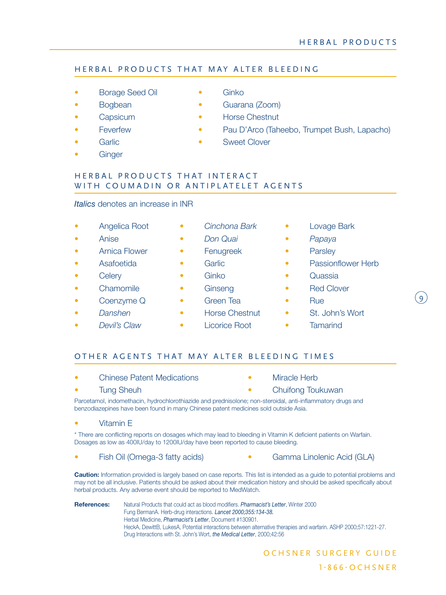# HERBAL PRODUCTS THAT MAY ALTER BLEEDING

- **Borage Seed Oil Ginko**
- 
- 
- 
- 
- **Ginger**
- 
- Bogbean Guarana (Zoom)
- **Capsicum Horse Chestnut**
- Feverfew Pau D'Arco (Taheebo, Trumpet Bush, Lapacho)
- Garlic **Garlic Sweet Clover**

## HERBAL PRODUCTS THAT INTERACT WITH COUMADIN OR ANTIPLATELET AGENTS

## *Italics* denotes an increase in INR

- 
- 
- Arnica Flower Fenugreek Parsley
- 
- 
- Chamomile • Ginseng • Red Clover
- Coenzyme Q Green Tea Rue
- 
- 
- 
- Anise *Don Quai Papaya*
	-
	-
	-
	-
	-
	-
	- *Devil's Claw* Licorice Root Tamarind
- Angelica Root *Cinchona Bark* Lovage Bark
	-
	-
- Asafoetida Garlic Passionflower Herb
- Celery Ginko Quassia
	-
	-
- *Danshen* Horse Chestnut St. John's Wort
	-

## OTHER AGENTS THAT MAY ALTER BLEEDING TIMES

- **Chinese Patent Medications Miracle Herb** 
	-
- 
- Tung Sheuh Chuifong Toukuwan

Parcetamol, indomethacin, hydrochlorothiazide and prednisolone; non-steroidal, anti-inflammatory drugs and benzodiazepines have been found in many Chinese patent medicines sold outside Asia.

#### • Vitamin E

\* There are conflicting reports on dosages which may lead to bleeding in Vitamin K deficient patients on Warfain. Dosages as low as 400IU/day to 1200IU/day have been reported to cause bleeding.

• Fish Oil (Omega-3 fatty acids) • Gamma Linolenic Acid (GLA)

**Caution:** Information provided is largely based on case reports. This list is intended as a guide to potential problems and may not be all inclusive. Patients should be asked about their medication history and should be asked specifically about herbal products. Any adverse event should be reported to MedWatch.

**References:** Natural Products that could act as blood modifiers. *Pharmacist's Letter*, Winter 2000 Fung BermanA. Herb-drug interactions. *Lancet 2000;355:134-38.* Herbal Medicine, *Pharmacist's Letter*, Document #130901. HeckA, DewittB, LukesA, Potential interactions between alternative therapies and warfarin. ASHP 2000;57:1221-27. Drug Interactions with St. John's Wort, *the Medical Letter*, 2000;42:56

- $\left( 9\right)$
- 
-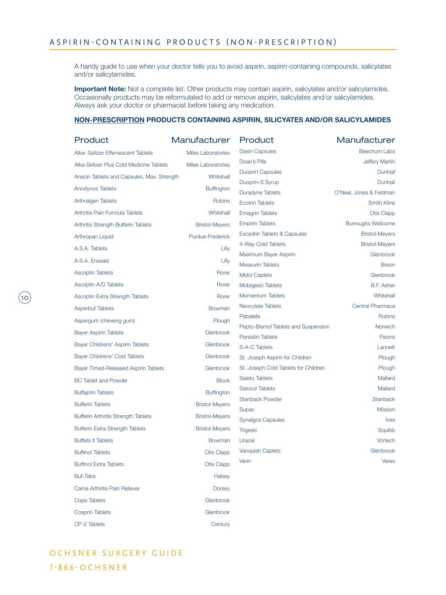A handy guide to use when your doctor tells you to avoid aspirin, aspirin-containing compounds, salicylates and/or salicylamides.

**Important Note:** Not a complete list. Other products may contain aspirin, salicylates and/or salicylamides. Occasionally products may be reformulated to add or remove aspirin, salicylates and/or salicylamides. Always ask your doctor or pharmacist before taking any medication.

#### **NON-PRESCRIPTION PRODUCTS CONTAINING ASPIRIN, SILICYATES AND/OR SALICYLAMIDES**

| Product                                    | Manufacturer              | Product                                                      | Manufacturer                                   |
|--------------------------------------------|---------------------------|--------------------------------------------------------------|------------------------------------------------|
| Alka- Seltzer Effervescent Tablets         | <b>Miles Laboratories</b> | <b>Dasin Capsules</b>                                        | <b>Beechum Labs</b>                            |
| Alka-Seltzer Plus Cold Medicine Tablets    | <b>Miles Laboratories</b> | Doan's Pills                                                 | <b>Jeffery Martin</b>                          |
| Anacin Tablets and Capsules, Max. Strength | Whitehall                 | <b>Duoprin Capsules</b>                                      | Dunhall                                        |
| <b>Anodynos Tablets</b>                    | <b>Buffington</b>         | Duoprin-S Syrup                                              | Dunhall                                        |
|                                            |                           | <b>Duradyne Tablets</b>                                      | O'Neal, Jones & Feldman                        |
| <b>Arthralgen Tablets</b>                  | Robins                    | <b>Ecotrin Tablets</b>                                       | <b>Smith Kline</b>                             |
| Arthritis Pain Formula Tablets             | Whitehall                 | <b>Emagrin Tablets</b>                                       | <b>Otis Clapp</b>                              |
| Arthritis Strength Bufferin Tablets        | <b>Bristol-Meyers</b>     | <b>Empirin Tablets</b>                                       | <b>Burroughs Wellcome</b>                      |
| Arthropan Liquid                           | Purdue-Frederick          | <b>Excedrin Tablets &amp; Capsules</b><br>4-Way Cold Tablets | <b>Bristol-Meyers</b><br><b>Bristol-Meyers</b> |
| A.S.A. Tablets                             | Lilly                     | Maximum Bayer Aspirin                                        | Glenbrook                                      |
| A.S.A. Enseals                             | Lilly                     | <b>Measurin Tablets</b>                                      | <b>Breon</b>                                   |
| <b>Ascriptin Tablets</b>                   | Rorer                     | <b>Midol Caplets</b>                                         | Glenbrook                                      |
| <b>Ascriptin A/D Tablets</b>               | Rorer                     | Mobigesic Tablets                                            | <b>B.F. Asher</b>                              |
| Ascriptin Extra Strength Tablets           | Rorer                     | <b>Momentum Tablets</b>                                      | Whitehall                                      |
| <b>Asperbuf Tablets</b>                    | <b>Bowman</b>             | Neocylate Tablets                                            | <b>Central Pharmaca</b>                        |
| Aspergum (chewing gum)                     | Plough                    | Pabalate                                                     | <b>Robins</b>                                  |
|                                            | Glenbrook                 | Pepto-Bismol Tablets and Suspension                          | Norwich                                        |
| <b>Bayer Aspirin Tablets</b>               |                           | <b>Persistin Tablets</b>                                     | <b>Fisons</b>                                  |
| Bayer Childrens' Aspirin Tablets           | Glenbrook                 | <b>S-A-C Tablets</b>                                         | Lannett                                        |
| Bayer Childrens' Cold Tablets              | Glenbrook                 | St. Joseph Aspirin for Children                              | Plough                                         |
| Bayer Timed-Released Aspirin Tablets       | Glenbrook                 | St. Joseph Cold Tablets for Children                         | Plough                                         |
| <b>BC Tablet and Powder</b>                | <b>Block</b>              | <b>Saleto Tablets</b>                                        | Mallard                                        |
| <b>Buffaprin Tablets</b>                   | <b>Buffington</b>         | <b>Salocol Tablets</b>                                       | Mallard                                        |
| <b>Bufferin Tablets</b>                    | <b>Bristol-Meyers</b>     | <b>Stanback Powder</b>                                       | <b>Stanback</b>                                |
| <b>Bufferin Arthritis Strength Tablets</b> | <b>Bristol-Meyers</b>     | <b>Supac</b><br><b>Synalgos Capsules</b>                     | <b>Mission</b><br><b>Ives</b>                  |
| <b>Bufferin Extra Strength Tablets</b>     | <b>Bristol-Meyers</b>     | <b>Trigesic</b>                                              | Squibb                                         |
| <b>Buffets II Tablets</b>                  | <b>Bowman</b>             | Uracel                                                       | Vortech                                        |
| <b>Buffinol Tablets</b>                    | <b>Otis Clapp</b>         | <b>Vanquish Caplets</b>                                      | Glenbrook                                      |
| <b>Buffinol Extra Tablets</b>              | <b>Otis Clapp</b>         | Verin                                                        | <b>Verex</b>                                   |
| <b>Buf-Tabs</b>                            | Halsey                    |                                                              |                                                |
| Cama Arthritis Pain Reliever               | <b>Dorsey</b>             |                                                              |                                                |
| <b>Cope Tablets</b>                        | Glenbrook                 |                                                              |                                                |
| <b>Cosprin Tablets</b>                     | Glenbrook                 |                                                              |                                                |
| CP-2 Tablets                               | Century                   |                                                              |                                                |

# O CH S N E R S U R G E R Y G U I D E 1 - 8 6 6 - O C H S N E R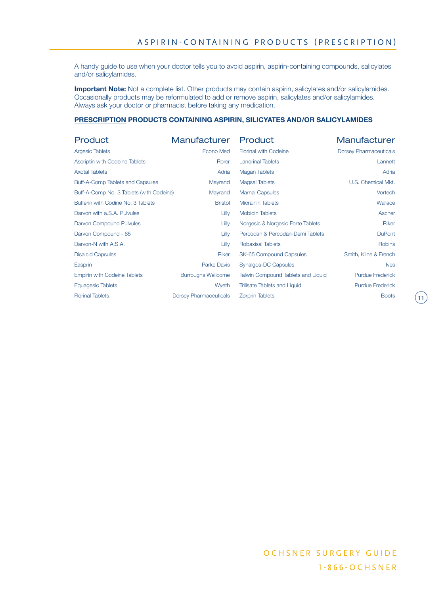A handy guide to use when your doctor tells you to avoid aspirin, aspirin-containing compounds, salicylates and/or salicylamides.

**Important Note:** Not a complete list. Other products may contain aspirin, salicylates and/or salicylamides. Occasionally products may be reformulated to add or remove aspirin, salicylates and/or salicylamides. Always ask your doctor or pharmacist before taking any medication.

#### **PRESCRIPTION PRODUCTS CONTAINING ASPIRIN, SILICYATES AND/OR SALICYLAMIDES**

| <b>Product</b>                           | Manufacturer                  | Product                             | Manufacturer                  |
|------------------------------------------|-------------------------------|-------------------------------------|-------------------------------|
| <b>Argesic Tablets</b>                   | Econo Med                     | <b>Florinal with Codeine</b>        | <b>Dorsey Pharmaceuticals</b> |
| <b>Ascriptin with Codeine Tablets</b>    | Rorer                         | <b>Lanorinal Tablets</b>            | Lannett                       |
| <b>Axotal Tablets</b>                    | Adria                         | <b>Magan Tablets</b>                | Adria                         |
| Buff-A-Comp Tablets and Capsules         | Mayrand                       | <b>Magsal Tablets</b>               | U.S. Chemical Mkt.            |
| Buff-A-Comp No. 3 Tablets (with Codeine) | Mayrand                       | <b>Marnal Capsules</b>              | Vortech                       |
| Bufferin with Codine No. 3 Tablets       | <b>Bristol</b>                | <b>Micrainin Tablets</b>            | Wallace                       |
| Darvon with a.S.A. Pulvules              | Lilly                         | <b>Mobidin Tablets</b>              | Ascher                        |
| Darvon Compound Pulvules                 | Lilly                         | Norgesic & Norgesic Forte Tablets   | Riker                         |
| Darvon Compound - 65                     | Lilly                         | Percodan & Percodan-Demi Tablets    | <b>DuPont</b>                 |
| Darvon-N with A.S.A.                     | Lilly                         | <b>Robaxisal Tablets</b>            | Robins                        |
| <b>Disalcid Capsules</b>                 | <b>Riker</b>                  | SK-65 Compound Capsules             | Smith, Kline & French         |
| Easprin                                  | <b>Parke Davis</b>            | Synalgos-DC Capsules                | <b>lves</b>                   |
| <b>Empirin with Codeine Tablets</b>      | <b>Burroughs Wellcome</b>     | Talwin Compound Tablets and Liquid  | <b>Purdue Frederick</b>       |
| <b>Equagesic Tablets</b>                 | Wyeth                         | <b>Trilisate Tablets and Liquid</b> | <b>Purdue Frederick</b>       |
| <b>Florinal Tablets</b>                  | <b>Dorsey Pharmaceuticals</b> | <b>Zorprin Tablets</b>              | <b>Boots</b>                  |

 $\left( \mathsf{11}\right)$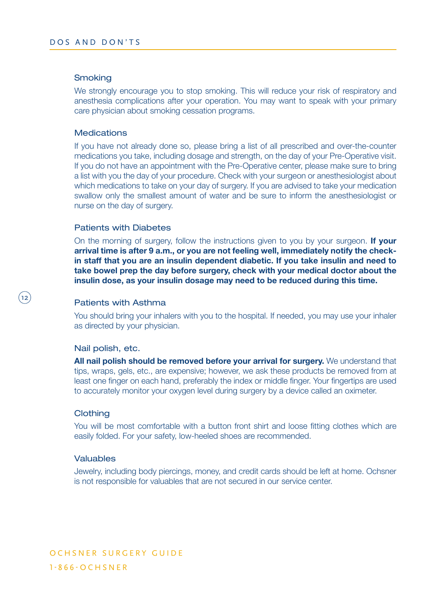#### **Smoking**

We strongly encourage you to stop smoking. This will reduce your risk of respiratory and anesthesia complications after your operation. You may want to speak with your primary care physician about smoking cessation programs.

#### **Medications**

If you have not already done so, please bring a list of all prescribed and over-the-counter medications you take, including dosage and strength, on the day of your Pre-Operative visit. If you do not have an appointment with the Pre-Operative center, please make sure to bring a list with you the day of your procedure. Check with your surgeon or anesthesiologist about which medications to take on your day of surgery. If you are advised to take your medication swallow only the smallest amount of water and be sure to inform the anesthesiologist or nurse on the day of surgery.

#### Patients with Diabetes

On the morning of surgery, follow the instructions given to you by your surgeon. **If your arrival time is after 9 a.m., or you are not feeling well, immediately notify the checkin staff that you are an insulin dependent diabetic. If you take insulin and need to take bowel prep the day before surgery, check with your medical doctor about the insulin dose, as your insulin dosage may need to be reduced during this time.**

#### Patients with Asthma

You should bring your inhalers with you to the hospital. If needed, you may use your inhaler as directed by your physician.

#### Nail polish, etc.

**All nail polish should be removed before your arrival for surgery.** We understand that tips, wraps, gels, etc., are expensive; however, we ask these products be removed from at least one finger on each hand, preferably the index or middle finger. Your fingertips are used to accurately monitor your oxygen level during surgery by a device called an oximeter.

#### **Clothing**

 $(12$ 

You will be most comfortable with a button front shirt and loose fitting clothes which are easily folded. For your safety, low-heeled shoes are recommended.

#### Valuables

Jewelry, including body piercings, money, and credit cards should be left at home. Ochsner is not responsible for valuables that are not secured in our service center.

OCHSNER SURGERY GUIDE 1 - 8 6 6 - O C H S N E R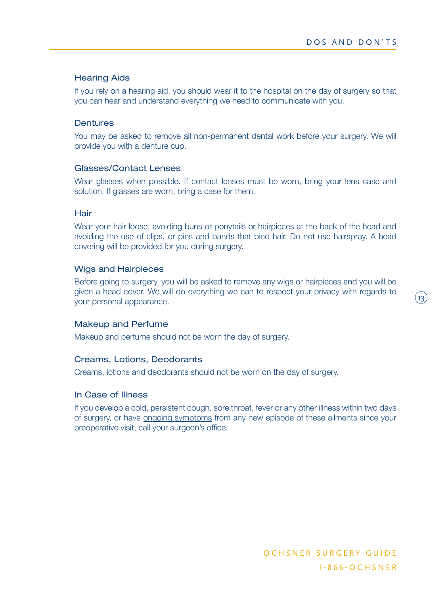$(13)$ 

## Hearing Aids

If you rely on a hearing aid, you should wear it to the hospital on the day of surgery so that you can hear and understand everything we need to communicate with you.

## **Dentures**

You may be asked to remove all non-permanent dental work before your surgery. We will provide you with a denture cup.

## Glasses/Contact Lenses

Wear glasses when possible. If contact lenses must be worn, bring your lens case and solution. If glasses are worn, bring a case for them.

## **Hair**

Wear your hair loose, avoiding buns or ponytails or hairpieces at the back of the head and avoiding the use of clips, or pins and bands that bind hair. Do not use hairspray. A head covering will be provided for you during surgery.

## Wigs and Hairpieces

Before going to surgery, you will be asked to remove any wigs or hairpieces and you will be given a head cover. We will do everything we can to respect your privacy with regards to your personal appearance.

## Makeup and Perfume

Makeup and perfume should not be worn the day of surgery.

## Creams, Lotions, Deodorants

Creams, lotions and deodorants should not be worn on the day of surgery.

## In Case of Illness

If you develop a cold, persistent cough, sore throat, fever or any other illness within two days of surgery, or have ongoing symptoms from any new episode of these ailments since your preoperative visit, call your surgeon's office.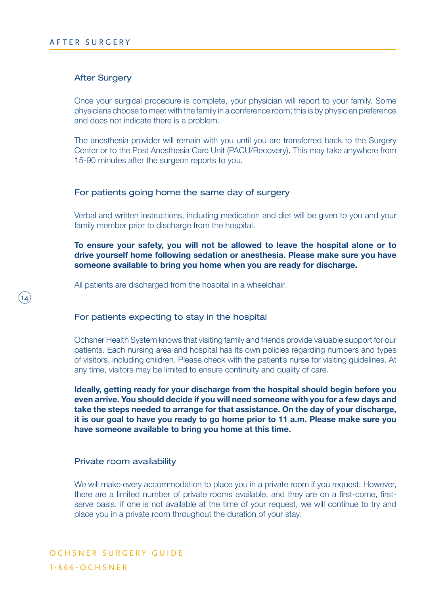14

#### After Surgery

Once your surgical procedure is complete, your physician will report to your family. Some physicians choose to meet with the family in a conference room; this is by physician preference and does not indicate there is a problem.

The anesthesia provider will remain with you until you are transferred back to the Surgery Center or to the Post Anesthesia Care Unit (PACU/Recovery). This may take anywhere from 15-90 minutes after the surgeon reports to you.

#### For patients going home the same day of surgery

Verbal and written instructions, including medication and diet will be given to you and your family member prior to discharge from the hospital.

## **To ensure your safety, you will not be allowed to leave the hospital alone or to drive yourself home following sedation or anesthesia. Please make sure you have someone available to bring you home when you are ready for discharge.**

All patients are discharged from the hospital in a wheelchair.

#### For patients expecting to stay in the hospital

Ochsner Health System knows that visiting family and friends provide valuable support for our patients. Each nursing area and hospital has its own policies regarding numbers and types of visitors, including children. Please check with the patient's nurse for visiting guidelines. At any time, visitors may be limited to ensure continuity and quality of care.

**Ideally, getting ready for your discharge from the hospital should begin before you even arrive. You should decide if you will need someone with you for a few days and take the steps needed to arrange for that assistance. On the day of your discharge, it is our goal to have you ready to go home prior to 11 a.m. Please make sure you have someone available to bring you home at this time.** 

#### Private room availability

We will make every accommodation to place you in a private room if you request. However, there are a limited number of private rooms available, and they are on a first-come, firstserve basis. If one is not available at the time of your request, we will continue to try and place you in a private room throughout the duration of your stay.

OCHSNER SURGERY GUIDE 1 - 8 6 6 - O C H S N E R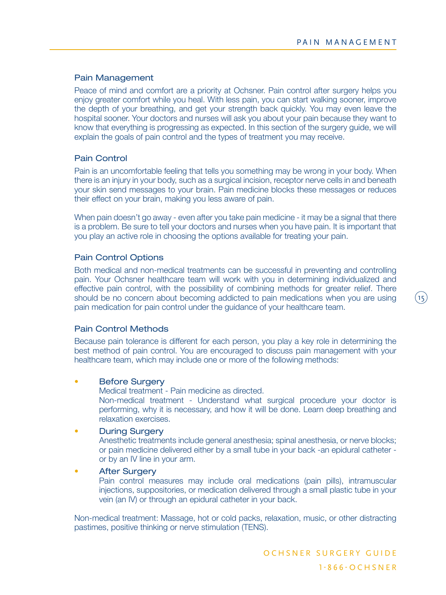$(15)$ 

## Pain Management

Peace of mind and comfort are a priority at Ochsner. Pain control after surgery helps you enjoy greater comfort while you heal. With less pain, you can start walking sooner, improve the depth of your breathing, and get your strength back quickly. You may even leave the hospital sooner. Your doctors and nurses will ask you about your pain because they want to know that everything is progressing as expected. In this section of the surgery guide, we will explain the goals of pain control and the types of treatment you may receive.

#### Pain Control

Pain is an uncomfortable feeling that tells you something may be wrong in your body. When there is an injury in your body, such as a surgical incision, receptor nerve cells in and beneath your skin send messages to your brain. Pain medicine blocks these messages or reduces their effect on your brain, making you less aware of pain.

When pain doesn't go away - even after you take pain medicine - it may be a signal that there is a problem. Be sure to tell your doctors and nurses when you have pain. It is important that you play an active role in choosing the options available for treating your pain.

## Pain Control Options

Both medical and non-medical treatments can be successful in preventing and controlling pain. Your Ochsner healthcare team will work with you in determining individualized and effective pain control, with the possibility of combining methods for greater relief. There should be no concern about becoming addicted to pain medications when you are using pain medication for pain control under the guidance of your healthcare team.

#### Pain Control Methods

Because pain tolerance is different for each person, you play a key role in determining the best method of pain control. You are encouraged to discuss pain management with your healthcare team, which may include one or more of the following methods:

#### • Before Surgery

Medical treatment - Pain medicine as directed.

 Non-medical treatment - Understand what surgical procedure your doctor is performing, why it is necessary, and how it will be done. Learn deep breathing and relaxation exercises.

#### • During Surgery

 Anesthetic treatments include general anesthesia; spinal anesthesia, or nerve blocks; or pain medicine delivered either by a small tube in your back -an epidural catheter or by an IV line in your arm.

#### • After Surgery

 Pain control measures may include oral medications (pain pills), intramuscular injections, suppositories, or medication delivered through a small plastic tube in your vein (an IV) or through an epidural catheter in your back.

Non-medical treatment: Massage, hot or cold packs, relaxation, music, or other distracting pastimes, positive thinking or nerve stimulation (TENS).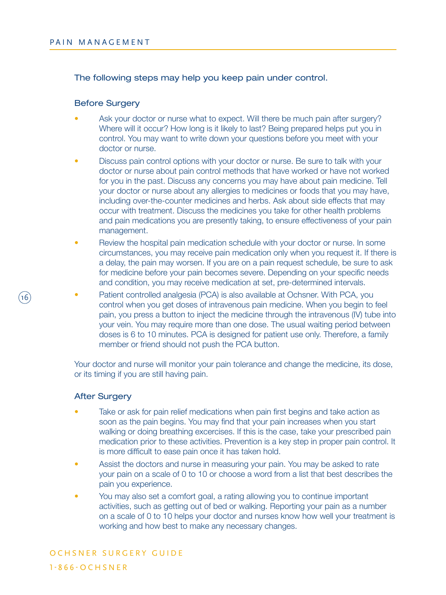## The following steps may help you keep pain under control.

#### Before Surgery

- Ask your doctor or nurse what to expect. Will there be much pain after surgery? Where will it occur? How long is it likely to last? Being prepared helps put you in control. You may want to write down your questions before you meet with your doctor or nurse.
- Discuss pain control options with your doctor or nurse. Be sure to talk with your doctor or nurse about pain control methods that have worked or have not worked for you in the past. Discuss any concerns you may have about pain medicine. Tell your doctor or nurse about any allergies to medicines or foods that you may have, including over-the-counter medicines and herbs. Ask about side effects that may occur with treatment. Discuss the medicines you take for other health problems and pain medications you are presently taking, to ensure effectiveness of your pain management.
- Review the hospital pain medication schedule with your doctor or nurse. In some circumstances, you may receive pain medication only when you request it. If there is a delay, the pain may worsen. If you are on a pain request schedule, be sure to ask for medicine before your pain becomes severe. Depending on your specific needs and condition, you may receive medication at set, pre-determined intervals.
- Patient controlled analgesia (PCA) is also available at Ochsner. With PCA, you control when you get doses of intravenous pain medicine. When you begin to feel pain, you press a button to inject the medicine through the intravenous (IV) tube into your vein. You may require more than one dose. The usual waiting period between doses is 6 to 10 minutes. PCA is designed for patient use only. Therefore, a family member or friend should not push the PCA button.

Your doctor and nurse will monitor your pain tolerance and change the medicine, its dose, or its timing if you are still having pain.

## After Surgery

16

- Take or ask for pain relief medications when pain first begins and take action as soon as the pain begins. You may find that your pain increases when you start walking or doing breathing excercises. If this is the case, take your prescribed pain medication prior to these activities. Prevention is a key step in proper pain control. It is more difficult to ease pain once it has taken hold.
- Assist the doctors and nurse in measuring your pain. You may be asked to rate your pain on a scale of 0 to 10 or choose a word from a list that best describes the pain you experience.
- You may also set a comfort goal, a rating allowing you to continue important activities, such as getting out of bed or walking. Reporting your pain as a number on a scale of 0 to 10 helps your doctor and nurses know how well your treatment is working and how best to make any necessary changes.

# OCHSNER SURGERY GUIDE 1 - 8 6 6 - O C H S N E R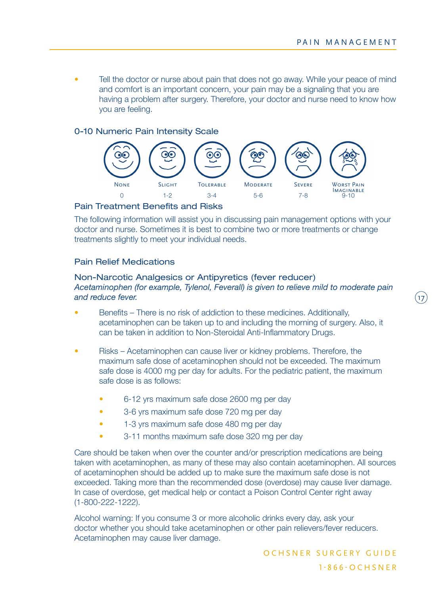$\mathbf{17})$ 

• Tell the doctor or nurse about pain that does not go away. While your peace of mind and comfort is an important concern, your pain may be a signaling that you are having a problem after surgery. Therefore, your doctor and nurse need to know how you are feeling.

## 0-10 Numeric Pain Intensity Scale



## Pain Treatment Benefits and Risks

The following information will assist you in discussing pain management options with your doctor and nurse. Sometimes it is best to combine two or more treatments or change treatments slightly to meet your individual needs.

## Pain Relief Medications

#### Non-Narcotic Analgesics or Antipyretics (fever reducer) *Acetaminophen (for example, Tylenol, Feverall) is given to relieve mild to moderate pain and reduce fever.*

- Benefits There is no risk of addiction to these medicines. Additionally, acetaminophen can be taken up to and including the morning of surgery. Also, it can be taken in addition to Non-Steroidal Anti-Inflammatory Drugs.
- Risks Acetaminophen can cause liver or kidney problems. Therefore, the maximum safe dose of acetaminophen should not be exceeded. The maximum safe dose is 4000 mg per day for adults. For the pediatric patient, the maximum safe dose is as follows:
	- 6-12 yrs maximum safe dose 2600 mg per day
	- 3-6 yrs maximum safe dose 720 mg per day
	- 1-3 yrs maximum safe dose 480 mg per day
	- 3-11 months maximum safe dose 320 mg per day

Care should be taken when over the counter and/or prescription medications are being taken with acetaminophen, as many of these may also contain acetaminophen. All sources of acetaminophen should be added up to make sure the maximum safe dose is not exceeded. Taking more than the recommended dose (overdose) may cause liver damage. In case of overdose, get medical help or contact a Poison Control Center right away (1-800-222-1222).

Alcohol warning: If you consume 3 or more alcoholic drinks every day, ask your doctor whether you should take acetaminophen or other pain relievers/fever reducers. Acetaminophen may cause liver damage.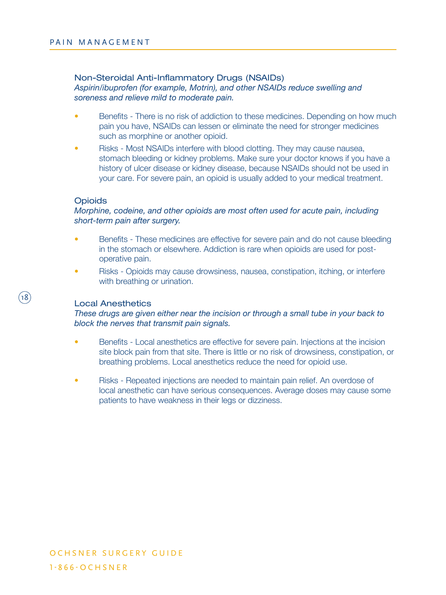## Non-Steroidal Anti-Inflammatory Drugs (NSAIDs)

*Aspirin/ibuprofen (for example, Motrin), and other NSAIDs reduce swelling and soreness and relieve mild to moderate pain.*

- Benefits There is no risk of addiction to these medicines. Depending on how much pain you have, NSAIDs can lessen or eliminate the need for stronger medicines such as morphine or another opioid.
- Risks Most NSAIDs interfere with blood clotting. They may cause nausea, stomach bleeding or kidney problems. Make sure your doctor knows if you have a history of ulcer disease or kidney disease, because NSAIDs should not be used in your care. For severe pain, an opioid is usually added to your medical treatment.

## **Opioids**

## *Morphine, codeine, and other opioids are most often used for acute pain, including short-term pain after surgery.*

- Benefits These medicines are effective for severe pain and do not cause bleeding in the stomach or elsewhere. Addiction is rare when opioids are used for postoperative pain.
- Risks Opioids may cause drowsiness, nausea, constipation, itching, or interfere with breathing or urination.

## Local Anesthetics

## *These drugs are given either near the incision or through a small tube in your back to block the nerves that transmit pain signals.*

- Benefits Local anesthetics are effective for severe pain. Injections at the incision site block pain from that site. There is little or no risk of drowsiness, constipation, or breathing problems. Local anesthetics reduce the need for opioid use.
- Risks Repeated injections are needed to maintain pain relief. An overdose of local anesthetic can have serious consequences. Average doses may cause some patients to have weakness in their legs or dizziness.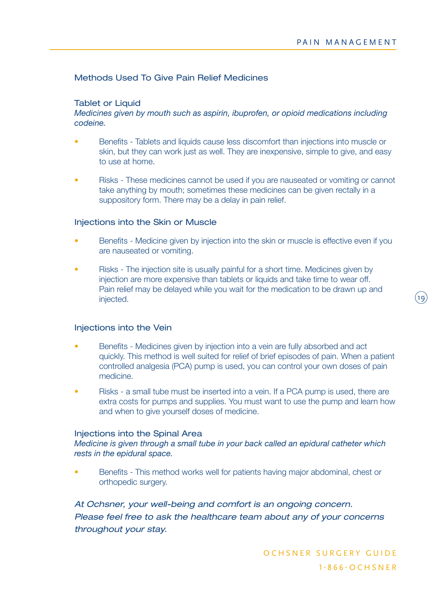(פו

## Methods Used To Give Pain Relief Medicines

## Tablet or Liquid

## *Medicines given by mouth such as aspirin, ibuprofen, or opioid medications including codeine.*

- Benefits Tablets and liquids cause less discomfort than injections into muscle or skin, but they can work just as well. They are inexpensive, simple to give, and easy to use at home.
- Risks These medicines cannot be used if you are nauseated or vomiting or cannot take anything by mouth; sometimes these medicines can be given rectally in a suppository form. There may be a delay in pain relief.

## Injections into the Skin or Muscle

- Benefits Medicine given by injection into the skin or muscle is effective even if you are nauseated or vomiting.
- Risks The injection site is usually painful for a short time. Medicines given by injection are more expensive than tablets or liquids and take time to wear off. Pain relief may be delayed while you wait for the medication to be drawn up and injected.

#### Injections into the Vein

- Benefits Medicines given by injection into a vein are fully absorbed and act quickly. This method is well suited for relief of brief episodes of pain. When a patient controlled analgesia (PCA) pump is used, you can control your own doses of pain medicine.
- Risks a small tube must be inserted into a vein. If a PCA pump is used, there are extra costs for pumps and supplies. You must want to use the pump and learn how and when to give yourself doses of medicine.

## Injections into the Spinal Area

*Medicine is given through a small tube in your back called an epidural catheter which rests in the epidural space.*

• Benefits - This method works well for patients having major abdominal, chest or orthopedic surgery.

*At Ochsner, your well-being and comfort is an ongoing concern. Please feel free to ask the healthcare team about any of your concerns throughout your stay.*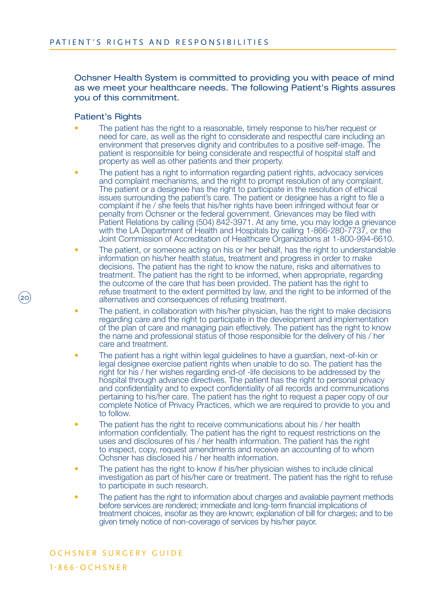Ochsner Health System is committed to providing you with peace of mind as we meet your healthcare needs. The following Patient's Rights assures you of this commitment.

#### Patient's Rights

20

- The patient has the right to a reasonable, timely response to his/her request or need for care, as well as the right to considerate and respectful care including an environment that preserves dignity and contributes to a positive self-image. The patient is responsible for being considerate and respectful of hospital staff and property as well as other patients and their property.
- The patient has a right to information regarding patient rights, advocacy services and complaint mechanisms, and the right to prompt resolution of any complaint. The patient or a designee has the right to participate in the resolution of ethical issues surrounding the patient's care. The patient or designee has a right to file a complaint if he / she feels that his/her rights have been infringed without fear or penalty from Ochsner or the federal government. Grievances may be filed with Patient Relations by calling (504) 842-3971. At any time, you may lodge a grievance with the LA Department of Health and Hospitals by calling 1-866-280-7737, or the Joint Commission of Accreditation of Healthcare Organizations at 1-800-994-6610.
- The patient, or someone acting on his or her behalf, has the right to understandable information on his/her health status, treatment and progress in order to make decisions. The patient has the right to know the nature, risks and alternatives to treatment. The patient has the right to be informed, when appropriate, regarding the outcome of the care that has been provided. The patient has the right to refuse treatment to the extent permitted by law, and the right to be informed of the alternatives and consequences of refusing treatment.
- The patient, in collaboration with his/her physician, has the right to make decisions regarding care and the right to participate in the development and implementation of the plan of care and managing pain effectively. The patient has the right to know the name and professional status of those responsible for the delivery of his / her care and treatment.
- The patient has a right within legal guidelines to have a guardian, next-of-kin or legal designee exercise patient rights when unable to do so. The patient has the right for his / her wishes regarding end-of -life decisions to be addressed by the hospital through advance directives. The patient has the right to personal privacy and confidentiality and to expect confidentiality of all records and communications pertaining to his/her care. The patient has the right to request a paper copy of our complete Notice of Privacy Practices, which we are required to provide to you and to follow.
- The patient has the right to receive communications about his / her health information confidentially. The patient has the right to request restrictions on the uses and disclosures of his / her health information. The patient has the right to inspect, copy, request amendments and receive an accounting of to whom Ochsner has disclosed his / her health information.
- The patient has the right to know if his/her physician wishes to include clinical investigation as part of his/her care or treatment. The patient has the right to refuse to participate in such research.
- The patient has the right to information about charges and available payment methods before services are rendered; immediate and long-term financial implications of treatment choices, insofar as they are known; explanation of bill for charges; and to be given timely notice of non-coverage of services by his/her payor.

## OCHSNER SURGERY GUIDE 1 - 8 6 6 - O C H S N E R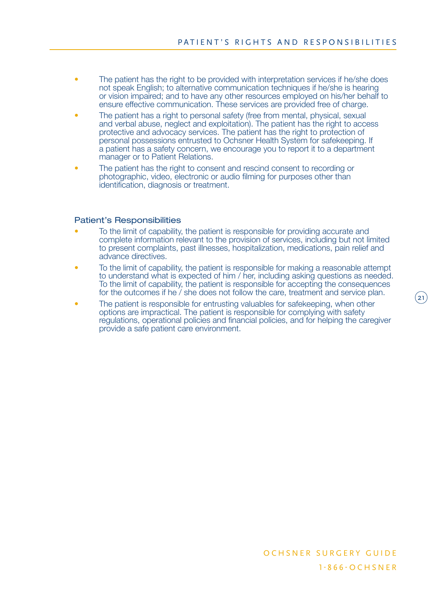- The patient has the right to be provided with interpretation services if he/she does not speak English; to alternative communication techniques if he/she is hearing or vision impaired; and to have any other resources employed on his/her behalf to ensure effective communication. These services are provided free of charge.
- The patient has a right to personal safety (free from mental, physical, sexual and verbal abuse, neglect and exploitation). The patient has the right to access protective and advocacy services. The patient has the right to protection of personal possessions entrusted to Ochsner Health System for safekeeping. If a patient has a safety concern, we encourage you to report it to a department manager or to Patient Relations.
- The patient has the right to consent and rescind consent to recording or photographic, video, electronic or audio filming for purposes other than identification, diagnosis or treatment.

## Patient's Responsibilities

- To the limit of capability, the patient is responsible for providing accurate and complete information relevant to the provision of services, including but not limited to present complaints, past illnesses, hospitalization, medications, pain relief and advance directives.
- To the limit of capability, the patient is responsible for making a reasonable attempt to understand what is expected of him / her, including asking questions as needed. To the limit of capability, the patient is responsible for accepting the consequences for the outcomes if he / she does not follow the care, treatment and service plan.
- The patient is responsible for entrusting valuables for safekeeping, when other options are impractical. The patient is responsible for complying with safety regulations, operational policies and financial policies, and for helping the caregiver provide a safe patient care environment.

 $\mathbf{21)}$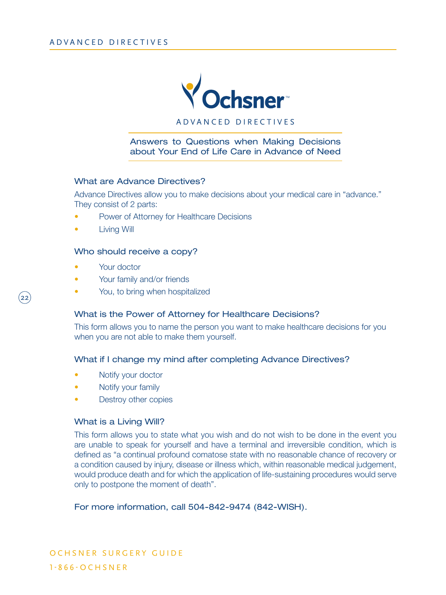

A D V A N C E D D I R E C T I V E S

Answers to Questions when Making Decisions about Your End of Life Care in Advance of Need

#### What are Advance Directives?

Advance Directives allow you to make decisions about your medical care in "advance." They consist of 2 parts:

- Power of Attorney for Healthcare Decisions
- Living Will

## Who should receive a copy?

• Your doctor

 $\overline{22}$ 

- Your family and/or friends
- You, to bring when hospitalized

## What is the Power of Attorney for Healthcare Decisions?

This form allows you to name the person you want to make healthcare decisions for you when you are not able to make them yourself.

## What if I change my mind after completing Advance Directives?

- Notify your doctor
- Notify your family
- Destroy other copies

## What is a Living Will?

This form allows you to state what you wish and do not wish to be done in the event you are unable to speak for yourself and have a terminal and irreversible condition, which is defined as "a continual profound comatose state with no reasonable chance of recovery or a condition caused by injury, disease or illness which, within reasonable medical judgement, would produce death and for which the application of life-sustaining procedures would serve only to postpone the moment of death".

## For more information, call 504-842-9474 (842-WISH).

O CH S N E R SURGERY GUIDE 1 - 8 6 6 - O C H S N E R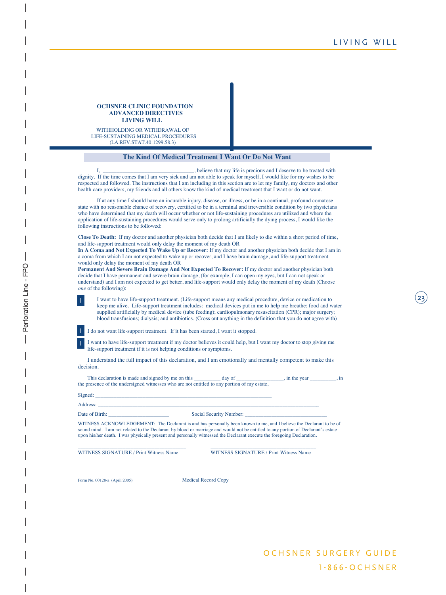23



WITHHOLDING OR WITHDRAWAL OF LIFE-SUSTAINING MEDICAL PROCEDURES (LA.REV.STAT.40:1299.58.3)

#### **The Kind Of Medical Treatment I Want Or Do Not Want**

I, \_\_\_\_\_\_\_\_\_\_\_\_\_\_\_\_\_\_\_\_\_\_\_\_\_\_\_\_\_\_\_\_\_, believe that my life is precious and I deserve to be treated with dignity. If the time comes that I am very sick and am not able to speak for myself, I would like for my wishes to be respected and followed. The instructions that I am including in this section are to let my family, my doctors and other health care providers, my friends and all others know the kind of medical treatment that I want or do not want.

If at any time I should have an incurable injury, disease, or illness, or be in a continual, profound comatose state with no reasonable chance of recovery, certified to be in a terminal and irreversible condition by two physicians who have determined that my death will occur whether or not life-sustaining procedures are utilized and where the application of life-sustaining procedures would serve only to prolong artificially the dying process, I would like the following instructions to be followed:

**Close To Death:** If my doctor and another physician both decide that I am likely to die within a short period of time, and life-support treatment would only delay the moment of my death OR

**In A Coma and Not Expected To Wake Up or Recover:** If my doctor and another physician both decide that I am in a coma from which I am not expected to wake up or recover, and I have brain damage, and life-support treatment would only delay the moment of my death OR

**Permanent And Severe Brain Damage And Not Expected To Recover:** If my doctor and another physician both decide that I have permanent and severe brain damage, (for example, I can open my eyes, but I can not speak or understand) and I am not expected to get better, and life-support would only delay the moment of my death (Choose *one* of the following):

I want to have life-support treatment. (Life-support means any medical procedure, device or medication to keep me alive. Life-support treatment includes: medical devices put in me to help me breathe; food and water supplied artificially by medical device (tube feeding); cardiopulmonary resuscitation (CPR); major surgery; blood transfusions; dialysis; and antibiotics. (Cross out anything in the definition that you do not agree with)

I do not want life-support treatment. If it has been started, I want it stopped.

I want to have life-support treatment if my doctor believes it could help, but I want my doctor to stop giving me life-support treatment if it is not helping conditions or symptoms.

I understand the full impact of this declaration, and I am emotionally and mentally competent to make this decision.

This declaration is made and signed by me on this \_\_\_\_\_\_\_\_ day of \_\_\_\_\_\_\_\_\_\_, in the year \_\_\_\_\_\_\_\_, in the presence of the undersigned witnesses who are not entitled to any portion of my estate,

| Signed: |  |
|---------|--|
|         |  |
|         |  |

Address: \_\_\_\_\_\_\_\_\_\_\_\_\_\_\_\_\_\_\_\_\_\_\_\_\_\_\_\_\_\_\_\_\_\_\_\_\_\_\_\_\_\_\_\_\_\_\_\_\_\_\_\_\_\_\_\_\_\_\_\_\_\_\_\_\_\_\_\_\_\_\_\_\_\_\_\_\_\_\_\_\_\_\_\_

Date of Birth: \_\_\_\_\_\_\_\_\_\_\_\_\_\_\_\_\_\_\_\_\_\_\_ Social Security Number: \_\_\_\_\_\_\_\_\_\_\_\_\_\_\_\_\_\_\_\_\_\_\_\_\_\_\_\_\_\_\_

WITNESS ACKNOWLEDGEMENT: The Declarant is and has personally been known to me, and I believe the Declarant to be of sound mind. I am not related to the Declarant by blood or marriage and would not be entitled to any portion of Declarant's estate upon his/her death. I was physically present and personally witnessed the Declarant execute the foregoing Declaration.

\_\_\_\_\_\_\_\_\_\_\_\_\_\_\_\_\_\_\_\_\_\_\_\_\_\_\_\_\_\_\_\_\_\_\_\_\_\_\_\_\_ \_\_\_\_\_\_\_\_\_\_\_\_\_\_\_\_\_\_\_\_\_\_\_\_\_\_\_\_\_\_\_\_\_\_\_\_\_\_\_\_ WITNESS SIGNATURE / Print Witness Name WITNESS SIGNATURE / Print Witness Name

Form No. 00128-a (April 2005) Medical Record Copy